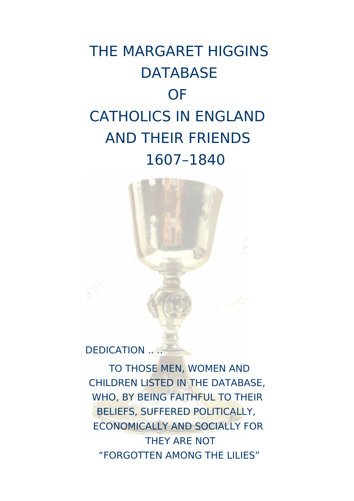# THE MARGARET HIGGINS **DATABASE OF** CATHOLICS IN ENGLAND AND THEIR FRIENDS 1607–1840



DEDICATION ....

TO THOSE MEN, WOMEN AND CHILDREN LISTED IN THE DATABASE, WHO, BY BEING FAITHFUL TO THEIR BELIEFS, SUFFERED POLITICALLY, ECONOMICALLY AND SOCIALLY FOR THEY ARE NOT "FORGOTTEN AMONG THE LILIES"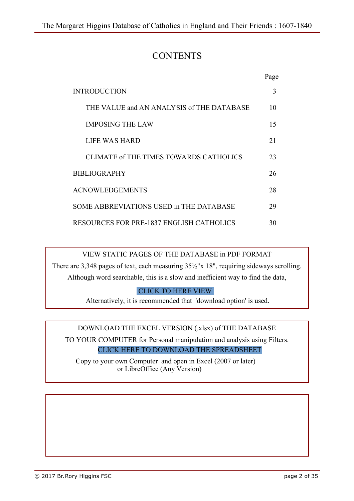# **CONTENTS**

|                                                 | Page |
|-------------------------------------------------|------|
| <b>INTRODUCTION</b>                             | 3    |
| THE VALUE and AN ANALYSIS of THE DATABASE       | 10   |
| <b>IMPOSING THE LAW</b>                         | 15   |
| LIFE WAS HARD                                   | 21   |
| CLIMATE of THE TIMES TOWARDS CATHOLICS          | 23   |
| <b>BIBLIOGRAPHY</b>                             |      |
| <b>ACNOWLEDGEMENTS</b>                          |      |
| SOME ABBREVIATIONS USED in THE DATABASE         |      |
| <b>RESOURCES FOR PRE-1837 ENGLISH CATHOLICS</b> |      |

VIEW STATIC PAGES OF THE DATABASE in PDF FORMAT

There are 3,348 pages of text, each measuring 35½"x 18", requiring sideways scrolling. Although word searchable, this is a slow and inefficient way to find the data,

[CLICK TO HERE VIEW](https://catholicfhs.online/images/cfhs/higginsdb/PDF/PAPISTS.pdf)

Alternatively, it is recommended that 'download option' is used.

DOWNLOAD THE EXCEL VERSION (.xlsx) of THE DATABASE

TO YOUR COMPUTER for Personal manipulation and analysis using Filters. [CLICK HERE TO DOWNLOAD THE SPREADSHEET](https://catholicfhs.online/images/cfhs/higginsdb/Extras/PAPISTS.xlsx)

 Copy to your own Computer and open in Excel (2007 or later) or LibreOffice (Any Version)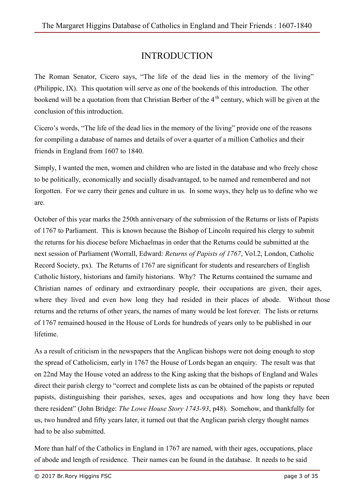# INTRODUCTION

The Roman Senator, Cicero says, "The life of the dead lies in the memory of the living" (Philippic, IX). This quotation will serve as one of the bookends of this introduction. The other bookend will be a quotation from that Christian Berber of the  $4<sup>th</sup>$  century, which will be given at the conclusion of this introduction.

Cicero's words, "The life of the dead lies in the memory of the living" provide one of the reasons for compiling a database of names and details of over a quarter of a million Catholics and their friends in England from 1607 to 1840.

Simply, I wanted the men, women and children who are listed in the database and who freely chose to be politically, economically and socially disadvantaged, to be named and remembered and not forgotten. For we carry their genes and culture in us. In some ways, they help us to define who we are.

October of this year marks the 250th anniversary of the submission of the Returns or lists of Papists of 1767 to Parliament. This is known because the Bishop of Lincoln required his clergy to submit the returns for his diocese before Michaelmas in order that the Returns could be submitted at the next session of Parliament (Worrall, Edward: *Returns of Papists of 1767*, Vol.2, London, Catholic Record Society, px). The Returns of 1767 are significant for students and researchers of English Catholic history, historians and family historians. Why? The Returns contained the surname and Christian names of ordinary and extraordinary people, their occupations are given, their ages, where they lived and even how long they had resided in their places of abode. Without those returns and the returns of other years, the names of many would be lost forever. The lists or returns of 1767 remained housed in the House of Lords for hundreds of years only to be published in our lifetime.

As a result of criticism in the newspapers that the Anglican bishops were not doing enough to stop the spread of Catholicism, early in 1767 the House of Lords began an enquiry. The result was that on 22nd May the House voted an address to the King asking that the bishops of England and Wales direct their parish clergy to "correct and complete lists as can be obtained of the papists or reputed papists, distinguishing their parishes, sexes, ages and occupations and how long they have been there resident" (John Bridge: *The Lowe House Story 1743-93*, p48). Somehow, and thankfully for us, two hundred and fifty years later, it turned out that the Anglican parish clergy thought names had to be also submitted.

More than half of the Catholics in England in 1767 are named, with their ages, occupations, place of abode and length of residence. Their names can be found in the database. It needs to be said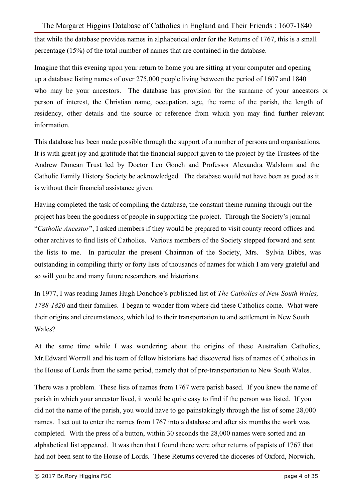that while the database provides names in alphabetical order for the Returns of 1767, this is a small percentage (15%) of the total number of names that are contained in the database.

Imagine that this evening upon your return to home you are sitting at your computer and opening up a database listing names of over 275,000 people living between the period of 1607 and 1840 who may be your ancestors. The database has provision for the surname of your ancestors or person of interest, the Christian name, occupation, age, the name of the parish, the length of residency, other details and the source or reference from which you may find further relevant information.

This database has been made possible through the support of a number of persons and organisations. It is with great joy and gratitude that the financial support given to the project by the Trustees of the Andrew Duncan Trust led by Doctor Leo Gooch and Professor Alexandra Walsham and the Catholic Family History Society be acknowledged. The database would not have been as good as it is without their financial assistance given.

Having completed the task of compiling the database, the constant theme running through out the project has been the goodness of people in supporting the project. Through the Society's journal "*Catholic Ancestor*", I asked members if they would be prepared to visit county record offices and other archives to find lists of Catholics. Various members of the Society stepped forward and sent the lists to me. In particular the present Chairman of the Society, Mrs. Sylvia Dibbs, was outstanding in compiling thirty or forty lists of thousands of names for which I am very grateful and so will you be and many future researchers and historians.

In 1977, I was reading James Hugh Donohoe's published list of *The Catholics of New South Wales, 1788-1820* and their families. I began to wonder from where did these Catholics come. What were their origins and circumstances, which led to their transportation to and settlement in New South Wales?

At the same time while I was wondering about the origins of these Australian Catholics, Mr.Edward Worrall and his team of fellow historians had discovered lists of names of Catholics in the House of Lords from the same period, namely that of pre-transportation to New South Wales.

There was a problem. These lists of names from 1767 were parish based. If you knew the name of parish in which your ancestor lived, it would be quite easy to find if the person was listed. If you did not the name of the parish, you would have to go painstakingly through the list of some 28,000 names. I set out to enter the names from 1767 into a database and after six months the work was completed. With the press of a button, within 30 seconds the 28,000 names were sorted and an alphabetical list appeared. It was then that I found there were other returns of papists of 1767 that had not been sent to the House of Lords. These Returns covered the dioceses of Oxford, Norwich,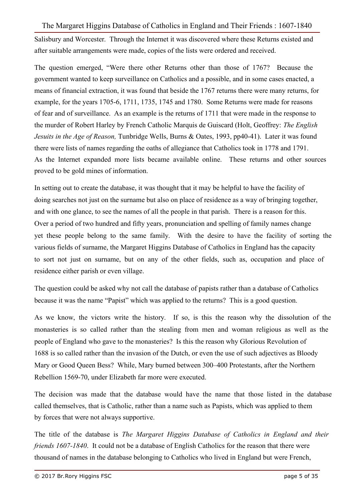Salisbury and Worcester. Through the Internet it was discovered where these Returns existed and after suitable arrangements were made, copies of the lists were ordered and received.

The question emerged, "Were there other Returns other than those of 1767? Because the government wanted to keep surveillance on Catholics and a possible, and in some cases enacted, a means of financial extraction, it was found that beside the 1767 returns there were many returns, for example, for the years 1705-6, 1711, 1735, 1745 and 1780. Some Returns were made for reasons of fear and of surveillance. As an example is the returns of 1711 that were made in the response to the murder of Robert Harley by French Catholic Marquis de Guiscard (Holt, Geoffrey: *The English Jesuits in the Age of Reason,* Tunbridge Wells, Burns & Oates, 1993, pp40-41). Later it was found there were lists of names regarding the oaths of allegiance that Catholics took in 1778 and 1791. As the Internet expanded more lists became available online. These returns and other sources proved to be gold mines of information.

In setting out to create the database, it was thought that it may be helpful to have the facility of doing searches not just on the surname but also on place of residence as a way of bringing together, and with one glance, to see the names of all the people in that parish. There is a reason for this. Over a period of two hundred and fifty years, pronunciation and spelling of family names change yet these people belong to the same family. With the desire to have the facility of sorting the various fields of surname, the Margaret Higgins Database of Catholics in England has the capacity to sort not just on surname, but on any of the other fields, such as, occupation and place of residence either parish or even village.

The question could be asked why not call the database of papists rather than a database of Catholics because it was the name "Papist" which was applied to the returns? This is a good question.

As we know, the victors write the history. If so, is this the reason why the dissolution of the monasteries is so called rather than the stealing from men and woman religious as well as the people of England who gave to the monasteries? Is this the reason why Glorious Revolution of 1688 is so called rather than the invasion of the Dutch, or even the use of such adjectives as Bloody Mary or Good Queen Bess? While, Mary burned between 300–400 Protestants, after the Northern Rebellion 1569-70, under Elizabeth far more were executed.

The decision was made that the database would have the name that those listed in the database called themselves, that is Catholic, rather than a name such as Papists, which was applied to them by forces that were not always supportive.

The title of the database is *The Margaret Higgins Database of Catholics in England and their friends 1607-1840*. It could not be a database of English Catholics for the reason that there were thousand of names in the database belonging to Catholics who lived in England but were French,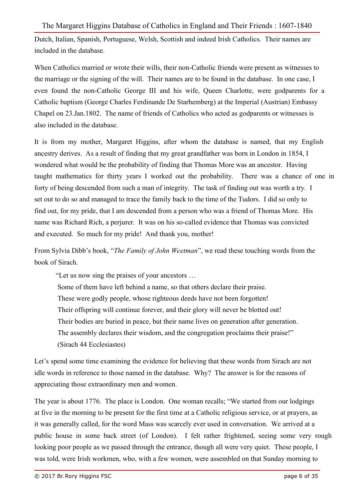Dutch, Italian, Spanish, Portuguese, Welsh, Scottish and indeed Irish Catholics. Their names are included in the database.

When Catholics married or wrote their wills, their non-Catholic friends were present as witnesses to the marriage or the signing of the will. Their names are to be found in the database. In one case, I even found the non-Catholic George III and his wife, Queen Charlotte, were godparents for a Catholic baptism (George Charles Ferdinande De Starhemberg) at the Imperial (Austrian) Embassy Chapel on 23.Jan.1802. The name of friends of Catholics who acted as godparents or witnesses is also included in the database.

It is from my mother, Margaret Higgins, after whom the database is named, that my English ancestry derives. As a result of finding that my great grandfather was born in London in 1854, I wondered what would be the probability of finding that Thomas More was an ancestor. Having taught mathematics for thirty years I worked out the probability. There was a chance of one in forty of being descended from such a man of integrity. The task of finding out was worth a try. I set out to do so and managed to trace the family back to the time of the Tudors. I did so only to find out, for my pride, that I am descended from a person who was a friend of Thomas More. His name was Richard Rich, a perjurer. It was on his so-called evidence that Thomas was convicted and executed. So much for my pride! And thank you, mother!

From Sylvia Dibb's book, "*The Family of John Weetman*", we read these touching words from the book of Sirach.

"Let us now sing the praises of your ancestors …

Some of them have left behind a name, so that others declare their praise.

These were godly people, whose righteous deeds have not been forgotten!

Their offspring will continue forever, and their glory will never be blotted out!

Their bodies are buried in peace, but their name lives on generation after generation.

The assembly declares their wisdom, and the congregation proclaims their praise!"

(Sirach 44 Ecclesiastes)

Let's spend some time examining the evidence for believing that these words from Sirach are not idle words in reference to those named in the database. Why? The answer is for the reasons of appreciating those extraordinary men and women.

The year is about 1776. The place is London. One woman recalls; "We started from our lodgings at five in the morning to be present for the first time at a Catholic religious service, or at prayers, as it was generally called, for the word Mass was scarcely ever used in conversation. We arrived at a public house in some back street (of London). I felt rather frightened, seeing some very rough looking poor people as we passed through the entrance, though all were very quiet. These people, I was told, were Irish workmen, who, with a few women, were assembled on that Sunday morning to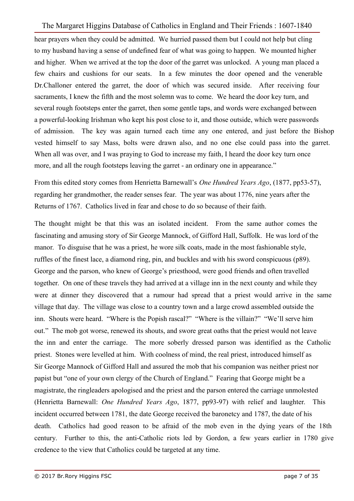hear prayers when they could be admitted. We hurried passed them but I could not help but cling to my husband having a sense of undefined fear of what was going to happen. We mounted higher and higher. When we arrived at the top the door of the garret was unlocked. A young man placed a few chairs and cushions for our seats. In a few minutes the door opened and the venerable Dr.Challoner entered the garret, the door of which was secured inside. After receiving four sacraments, I knew the fifth and the most solemn was to come. We heard the door key turn, and several rough footsteps enter the garret, then some gentle taps, and words were exchanged between a powerful-looking Irishman who kept his post close to it, and those outside, which were passwords of admission. The key was again turned each time any one entered, and just before the Bishop vested himself to say Mass, bolts were drawn also, and no one else could pass into the garret. When all was over, and I was praying to God to increase my faith. I heard the door key turn once more, and all the rough footsteps leaving the garret - an ordinary one in appearance."

From this edited story comes from Henrietta Barnewall's *One Hundred Years Ago*, (1877, pp53-57), regarding her grandmother, the reader senses fear. The year was about 1776, nine years after the Returns of 1767. Catholics lived in fear and chose to do so because of their faith.

The thought might be that this was an isolated incident. From the same author comes the fascinating and amusing story of Sir George Mannock, of Gifford Hall, Suffolk. He was lord of the manor. To disguise that he was a priest, he wore silk coats, made in the most fashionable style, ruffles of the finest lace, a diamond ring, pin, and buckles and with his sword conspicuous (p89). George and the parson, who knew of George's priesthood, were good friends and often travelled together. On one of these travels they had arrived at a village inn in the next county and while they were at dinner they discovered that a rumour had spread that a priest would arrive in the same village that day. The village was close to a country town and a large crowd assembled outside the inn. Shouts were heard. "Where is the Popish rascal?" "Where is the villain?" "We'll serve him out." The mob got worse, renewed its shouts, and swore great oaths that the priest would not leave the inn and enter the carriage. The more soberly dressed parson was identified as the Catholic priest. Stones were levelled at him. With coolness of mind, the real priest, introduced himself as Sir George Mannock of Gifford Hall and assured the mob that his companion was neither priest nor papist but "one of your own clergy of the Church of England." Fearing that George might be a magistrate, the ringleaders apologised and the priest and the parson entered the carriage unmolested (Henrietta Barnewall: *One Hundred Years Ago*, 1877, pp93-97) with relief and laughter. This incident occurred between 1781, the date George received the baronetcy and 1787, the date of his death. Catholics had good reason to be afraid of the mob even in the dying years of the 18th century. Further to this, the anti-Catholic riots led by Gordon, a few years earlier in 1780 give credence to the view that Catholics could be targeted at any time.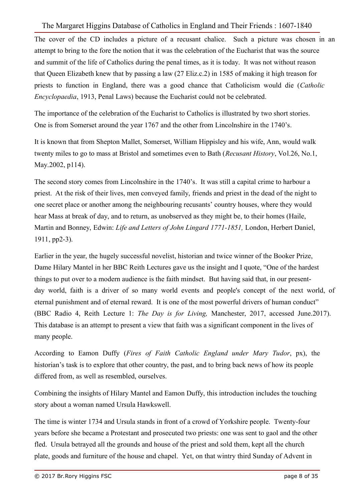The cover of the CD includes a picture of a recusant chalice. Such a picture was chosen in an attempt to bring to the fore the notion that it was the celebration of the Eucharist that was the source and summit of the life of Catholics during the penal times, as it is today. It was not without reason that Queen Elizabeth knew that by passing a law (27 Eliz.c.2) in 1585 of making it high treason for priests to function in England, there was a good chance that Catholicism would die (*Catholic Encyclopaedia*, 1913, Penal Laws) because the Eucharist could not be celebrated.

The importance of the celebration of the Eucharist to Catholics is illustrated by two short stories. One is from Somerset around the year 1767 and the other from Lincolnshire in the 1740's.

It is known that from Shepton Mallet, Somerset, William Hippisley and his wife, Ann, would walk twenty miles to go to mass at Bristol and sometimes even to Bath (*Recusant History*, Vol.26, No.1, May.2002, p114).

The second story comes from Lincolnshire in the 1740's. It was still a capital crime to harbour a priest. At the risk of their lives, men conveyed family, friends and priest in the dead of the night to one secret place or another among the neighbouring recusants' country houses, where they would hear Mass at break of day, and to return, as unobserved as they might be, to their homes (Haile, Martin and Bonney, Edwin: *Life and Letters of John Lingard 1771-1851,* London, Herbert Daniel, 1911, pp2-3).

Earlier in the year, the hugely successful novelist, historian and twice winner of the Booker Prize, Dame Hilary Mantel in her BBC Reith Lectures gave us the insight and I quote, "One of the hardest things to put over to a modern audience is the faith mindset. But having said that, in our presentday world, faith is a driver of so many world events and people's concept of the next world, of eternal punishment and of eternal reward. It is one of the most powerful drivers of human conduct" (BBC Radio 4, Reith Lecture 1: *The Day is for Living,* Manchester, 2017, accessed June.2017). This database is an attempt to present a view that faith was a significant component in the lives of many people.

According to Eamon Duffy (*Fires of Faith Catholic England under Mary Tudor*, px), the historian's task is to explore that other country, the past, and to bring back news of how its people differed from, as well as resembled, ourselves.

Combining the insights of Hilary Mantel and Eamon Duffy, this introduction includes the touching story about a woman named Ursula Hawkswell.

The time is winter 1734 and Ursula stands in front of a crowd of Yorkshire people. Twenty-four years before she became a Protestant and prosecuted two priests: one was sent to gaol and the other fled. Ursula betrayed all the grounds and house of the priest and sold them, kept all the church plate, goods and furniture of the house and chapel. Yet, on that wintry third Sunday of Advent in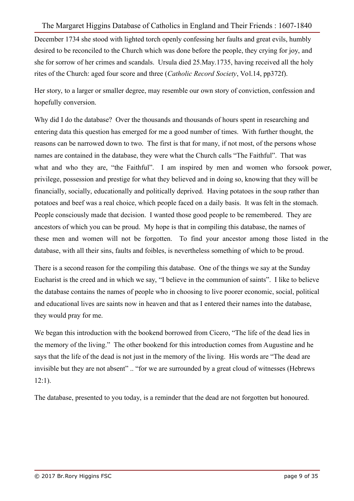December 1734 she stood with lighted torch openly confessing her faults and great evils, humbly desired to be reconciled to the Church which was done before the people, they crying for joy, and she for sorrow of her crimes and scandals. Ursula died 25.May.1735, having received all the holy rites of the Church: aged four score and three (*Catholic Record Society*, Vol.14, pp372f).

Her story, to a larger or smaller degree, may resemble our own story of conviction, confession and hopefully conversion.

Why did I do the database? Over the thousands and thousands of hours spent in researching and entering data this question has emerged for me a good number of times. With further thought, the reasons can be narrowed down to two. The first is that for many, if not most, of the persons whose names are contained in the database, they were what the Church calls "The Faithful". That was what and who they are, "the Faithful". I am inspired by men and women who forsook power, privilege, possession and prestige for what they believed and in doing so, knowing that they will be financially, socially, educationally and politically deprived. Having potatoes in the soup rather than potatoes and beef was a real choice, which people faced on a daily basis. It was felt in the stomach. People consciously made that decision. I wanted those good people to be remembered. They are ancestors of which you can be proud. My hope is that in compiling this database, the names of these men and women will not be forgotten. To find your ancestor among those listed in the database, with all their sins, faults and foibles, is nevertheless something of which to be proud.

There is a second reason for the compiling this database. One of the things we say at the Sunday Eucharist is the creed and in which we say, "I believe in the communion of saints". I like to believe the database contains the names of people who in choosing to live poorer economic, social, political and educational lives are saints now in heaven and that as I entered their names into the database, they would pray for me.

We began this introduction with the bookend borrowed from Cicero, "The life of the dead lies in the memory of the living." The other bookend for this introduction comes from Augustine and he says that the life of the dead is not just in the memory of the living. His words are "The dead are invisible but they are not absent" .. "for we are surrounded by a great cloud of witnesses (Hebrews 12:1).

The database, presented to you today, is a reminder that the dead are not forgotten but honoured.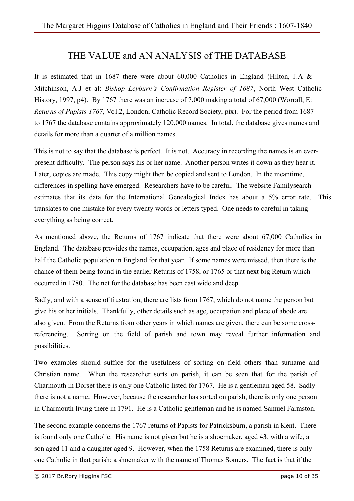# THE VALUE and AN ANALYSIS of THE DATABASE

It is estimated that in 1687 there were about 60,000 Catholics in England (Hilton, J.A  $\&$ Mitchinson, A.J et al: *Bishop Leyburn's Confirmation Register of 1687*, North West Catholic History, 1997, p4). By 1767 there was an increase of 7,000 making a total of 67,000 (Worrall, E: *Returns of Papists 1767*, Vol.2, London, Catholic Record Society, pix). For the period from 1687 to 1767 the database contains approximately 120,000 names. In total, the database gives names and details for more than a quarter of a million names.

This is not to say that the database is perfect. It is not. Accuracy in recording the names is an everpresent difficulty. The person says his or her name. Another person writes it down as they hear it. Later, copies are made. This copy might then be copied and sent to London. In the meantime, differences in spelling have emerged. Researchers have to be careful. The website Familysearch estimates that its data for the International Genealogical Index has about a 5% error rate. This translates to one mistake for every twenty words or letters typed. One needs to careful in taking everything as being correct.

As mentioned above, the Returns of 1767 indicate that there were about 67,000 Catholics in England. The database provides the names, occupation, ages and place of residency for more than half the Catholic population in England for that year. If some names were missed, then there is the chance of them being found in the earlier Returns of 1758, or 1765 or that next big Return which occurred in 1780. The net for the database has been cast wide and deep.

Sadly, and with a sense of frustration, there are lists from 1767, which do not name the person but give his or her initials. Thankfully, other details such as age, occupation and place of abode are also given. From the Returns from other years in which names are given, there can be some crossreferencing. Sorting on the field of parish and town may reveal further information and possibilities.

Two examples should suffice for the usefulness of sorting on field others than surname and Christian name. When the researcher sorts on parish, it can be seen that for the parish of Charmouth in Dorset there is only one Catholic listed for 1767. He is a gentleman aged 58. Sadly there is not a name. However, because the researcher has sorted on parish, there is only one person in Charmouth living there in 1791. He is a Catholic gentleman and he is named Samuel Farmston.

The second example concerns the 1767 returns of Papists for Patricksburn, a parish in Kent. There is found only one Catholic. His name is not given but he is a shoemaker, aged 43, with a wife, a son aged 11 and a daughter aged 9. However, when the 1758 Returns are examined, there is only one Catholic in that parish: a shoemaker with the name of Thomas Somers. The fact is that if the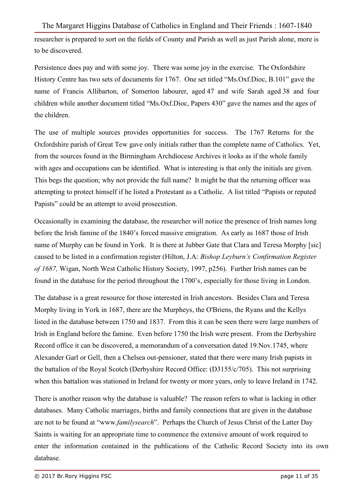researcher is prepared to sort on the fields of County and Parish as well as just Parish alone, more is to be discovered.

Persistence does pay and with some joy. There was some joy in the exercise. The Oxfordshire History Centre has two sets of documents for 1767. One set titled "Ms.Oxf.Dioc, B.101" gave the name of Francis Allibarton, of Somerton labourer, aged 47 and wife Sarah aged 38 and four children while another document titled "Ms.Oxf.Dioc, Papers 430" gave the names and the ages of the children.

The use of multiple sources provides opportunities for success. The 1767 Returns for the Oxfordshire parish of Great Tew gave only initials rather than the complete name of Catholics. Yet, from the sources found in the Birmingham Archdiocese Archives it looks as if the whole family with ages and occupations can be identified. What is interesting is that only the initials are given. This begs the question; why not provide the full name? It might be that the returning officer was attempting to protect himself if he listed a Protestant as a Catholic. A list titled "Papists or reputed Papists" could be an attempt to avoid prosecution.

Occasionally in examining the database, the researcher will notice the presence of Irish names long before the Irish famine of the 1840's forced massive emigration. As early as 1687 those of Irish name of Murphy can be found in York. It is there at Jubber Gate that Clara and Teresa Morphy [sic] caused to be listed in a confirmation register (Hilton, J.A: *Bishop Leyburn's Confirmation Register of 1687,* Wigan, North West Catholic History Society, 1997, p256). Further Irish names can be found in the database for the period throughout the 1700's, especially for those living in London.

The database is a great resource for those interested in Irish ancestors. Besides Clara and Teresa Morphy living in York in 1687, there are the Murpheys, the O'Briens, the Ryans and the Kellys listed in the database between 1750 and 1837. From this it can be seen there were large numbers of Irish in England before the famine. Even before 1750 the Irish were present. From the Derbyshire Record office it can be discovered, a memorandum of a conversation dated 19.Nov.1745, where Alexander Garl or Gell, then a Chelsea out-pensioner, stated that there were many Irish papists in the battalion of the Royal Scotch (Derbyshire Record Office: (D3155/c/705). This not surprising when this battalion was stationed in Ireland for twenty or more years, only to leave Ireland in 1742.

There is another reason why the database is valuable? The reason refers to what is lacking in other databases. Many Catholic marriages, births and family connections that are given in the database are not to be found at "www.*familysearch*". Perhaps the Church of Jesus Christ of the Latter Day Saints is waiting for an appropriate time to commence the extensive amount of work required to enter the information contained in the publications of the Catholic Record Society into its own database.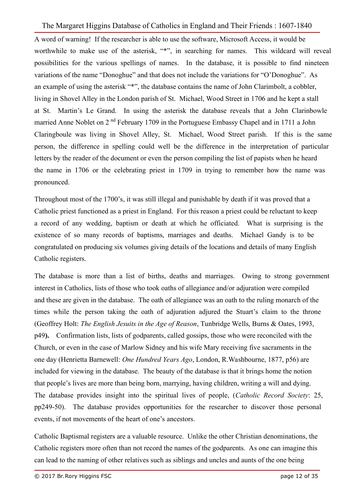A word of warning! If the researcher is able to use the software, Microsoft Access, it would be worthwhile to make use of the asterisk, "\*", in searching for names. This wildcard will reveal possibilities for the various spellings of names. In the database, it is possible to find nineteen variations of the name "Donoghue" and that does not include the variations for "O'Donoghue". As an example of using the asterisk "\*", the database contains the name of John Clarimbolt, a cobbler, living in Shovel Alley in the London parish of St. Michael, Wood Street in 1706 and he kept a stall at St. Martin's Le Grand. In using the asterisk the database reveals that a John Clarinbowle married Anne Noblet on  $2<sup>nd</sup>$  February 1709 in the Portuguese Embassy Chapel and in 1711 a John Claringboule was living in Shovel Alley, St. Michael, Wood Street parish. If this is the same person, the difference in spelling could well be the difference in the interpretation of particular letters by the reader of the document or even the person compiling the list of papists when he heard the name in 1706 or the celebrating priest in 1709 in trying to remember how the name was pronounced.

Throughout most of the 1700's, it was still illegal and punishable by death if it was proved that a Catholic priest functioned as a priest in England. For this reason a priest could be reluctant to keep a record of any wedding, baptism or death at which he officiated. What is surprising is the existence of so many records of baptisms, marriages and deaths. Michael Gandy is to be congratulated on producing six volumes giving details of the locations and details of many English Catholic registers.

The database is more than a list of births, deaths and marriages. Owing to strong government interest in Catholics, lists of those who took oaths of allegiance and/or adjuration were compiled and these are given in the database. The oath of allegiance was an oath to the ruling monarch of the times while the person taking the oath of adjuration adjured the Stuart's claim to the throne (Geoffrey Holt: *The English Jesuits in the Age of Reason*, Tunbridge Wells, Burns & Oates, 1993, p49**).** Confirmation lists, lists of godparents, called gossips, those who were reconciled with the Church, or even in the case of Marlow Sidney and his wife Mary receiving five sacraments in the one day (Henrietta Barnewell: *One Hundred Years Ago*, London, R.Washbourne, 1877, p56) are included for viewing in the database. The beauty of the database is that it brings home the notion that people's lives are more than being born, marrying, having children, writing a will and dying. The database provides insight into the spiritual lives of people, (*Catholic Record Society*: 25, pp249-50). The database provides opportunities for the researcher to discover those personal events, if not movements of the heart of one's ancestors.

Catholic Baptismal registers are a valuable resource. Unlike the other Christian denominations, the Catholic registers more often than not record the names of the godparents. As one can imagine this can lead to the naming of other relatives such as siblings and uncles and aunts of the one being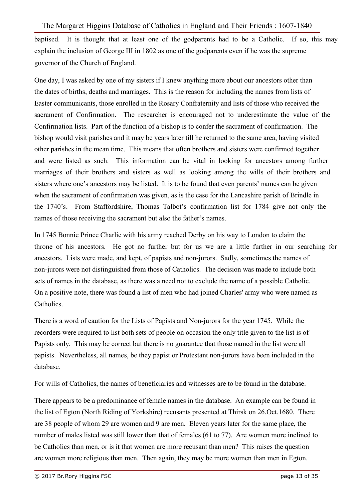baptised. It is thought that at least one of the godparents had to be a Catholic. If so, this may explain the inclusion of George III in 1802 as one of the godparents even if he was the supreme governor of the Church of England.

One day, I was asked by one of my sisters if I knew anything more about our ancestors other than the dates of births, deaths and marriages. This is the reason for including the names from lists of Easter communicants, those enrolled in the Rosary Confraternity and lists of those who received the sacrament of Confirmation. The researcher is encouraged not to underestimate the value of the Confirmation lists. Part of the function of a bishop is to confer the sacrament of confirmation. The bishop would visit parishes and it may be years later till he returned to the same area, having visited other parishes in the mean time. This means that often brothers and sisters were confirmed together and were listed as such. This information can be vital in looking for ancestors among further marriages of their brothers and sisters as well as looking among the wills of their brothers and sisters where one's ancestors may be listed. It is to be found that even parents' names can be given when the sacrament of confirmation was given, as is the case for the Lancashire parish of Brindle in the 1740's. From Staffordshire, Thomas Talbot's confirmation list for 1784 give not only the names of those receiving the sacrament but also the father's names.

In 1745 Bonnie Prince Charlie with his army reached Derby on his way to London to claim the throne of his ancestors. He got no further but for us we are a little further in our searching for ancestors. Lists were made, and kept, of papists and non-jurors. Sadly, sometimes the names of non-jurors were not distinguished from those of Catholics. The decision was made to include both sets of names in the database, as there was a need not to exclude the name of a possible Catholic. On a positive note, there was found a list of men who had joined Charles' army who were named as Catholics.

There is a word of caution for the Lists of Papists and Non-jurors for the year 1745. While the recorders were required to list both sets of people on occasion the only title given to the list is of Papists only. This may be correct but there is no guarantee that those named in the list were all papists. Nevertheless, all names, be they papist or Protestant non-jurors have been included in the database.

For wills of Catholics, the names of beneficiaries and witnesses are to be found in the database.

There appears to be a predominance of female names in the database. An example can be found in the list of Egton (North Riding of Yorkshire) recusants presented at Thirsk on 26.Oct.1680. There are 38 people of whom 29 are women and 9 are men. Eleven years later for the same place, the number of males listed was still lower than that of females (61 to 77). Are women more inclined to be Catholics than men, or is it that women are more recusant than men? This raises the question are women more religious than men. Then again, they may be more women than men in Egton.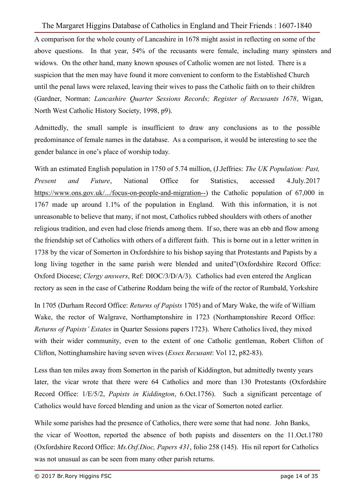A comparison for the whole county of Lancashire in 1678 might assist in reflecting on some of the above questions. In that year, 54% of the recusants were female, including many spinsters and widows. On the other hand, many known spouses of Catholic women are not listed. There is a suspicion that the men may have found it more convenient to conform to the Established Church until the penal laws were relaxed, leaving their wives to pass the Catholic faith on to their children (Gardner, Norman: *Lancashire Quarter Sessions Records; Register of Recusants 1678*, Wigan, North West Catholic History Society, 1998, p9).

Admittedly, the small sample is insufficient to draw any conclusions as to the possible predominance of female names in the database. As a comparison, it would be interesting to see the gender balance in one's place of worship today.

With an estimated English population in 1750 of 5.74 million, (J.Jeffries: *The UK Population: Past, Present and Future*, National Office for Statistics, accessed 4.July.2017 https://www.ons.gov.uk/.../focus-on-people-and-migration--) the Catholic population of 67,000 in 1767 made up around 1.1% of the population in England. With this information, it is not unreasonable to believe that many, if not most, Catholics rubbed shoulders with others of another religious tradition, and even had close friends among them. If so, there was an ebb and flow among the friendship set of Catholics with others of a different faith. This is borne out in a letter written in 1738 by the vicar of Somerton in Oxfordshire to his bishop saying that Protestants and Papists by a long living together in the same parish were blended and united"(Oxfordshire Record Office: Oxford Diocese; *Clergy answers*, Ref: DIOC/3/D/A/3). Catholics had even entered the Anglican rectory as seen in the case of Catherine Roddam being the wife of the rector of Rumbald, Yorkshire

In 1705 (Durham Record Office: *Returns of Papists* 1705) and of Mary Wake, the wife of William Wake, the rector of Walgrave, Northamptonshire in 1723 (Northamptonshire Record Office: *Returns of Papists' Estates* in Quarter Sessions papers 1723). Where Catholics lived, they mixed with their wider community, even to the extent of one Catholic gentleman, Robert Clifton of Clifton, Nottinghamshire having seven wives (*Essex Recusant*: Vol 12, p82-83).

Less than ten miles away from Somerton in the parish of Kiddington, but admittedly twenty years later, the vicar wrote that there were 64 Catholics and more than 130 Protestants (Oxfordshire Record Office: 1/E/5/2, *Papists in Kiddington*, 6.Oct.1756). Such a significant percentage of Catholics would have forced blending and union as the vicar of Somerton noted earlier.

While some parishes had the presence of Catholics, there were some that had none. John Banks, the vicar of Wootton, reported the absence of both papists and dissenters on the 11.Oct.1780 (Oxfordshire Record Office: *Ms.Oxf.Dioc, Papers 431*, folio 258 (145). His nil report for Catholics was not unusual as can be seen from many other parish returns.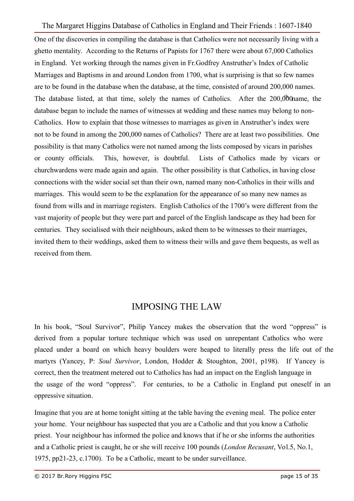One of the discoveries in compiling the database is that Catholics were not necessarily living with a ghetto mentality. According to the Returns of Papists for 1767 there were about 67,000 Catholics in England. Yet working through the names given in Fr.Godfrey Anstruther's Index of Catholic Marriages and Baptisms in and around London from 1700, what is surprising is that so few names are to be found in the database when the database, at the time, consisted of around 200,000 names. The database listed, at that time, solely the names of Catholics. After the 200,000 ame, the database began to include the names of witnesses at wedding and these names may belong to non-Catholics. How to explain that those witnesses to marriages as given in Anstruther's index were not to be found in among the 200,000 names of Catholics? There are at least two possibilities. One possibility is that many Catholics were not named among the lists composed by vicars in parishes or county officials. This, however, is doubtful. Lists of Catholics made by vicars or churchwardens were made again and again. The other possibility is that Catholics, in having close connections with the wider social set than their own, named many non-Catholics in their wills and marriages. This would seem to be the explanation for the appearance of so many new names as found from wills and in marriage registers. English Catholics of the 1700's were different from the vast majority of people but they were part and parcel of the English landscape as they had been for centuries. They socialised with their neighbours, asked them to be witnesses to their marriages, invited them to their weddings, asked them to witness their wills and gave them bequests, as well as received from them.

# IMPOSING THE LAW

In his book, "Soul Survivor", Philip Yancey makes the observation that the word "oppress" is derived from a popular torture technique which was used on unrepentant Catholics who were placed under a board on which heavy boulders were heaped to literally press the life out of the martyrs (Yancey, P: *Soul Survivor*, London, Hodder & Stoughton, 2001, p198). If Yancey is correct, then the treatment metered out to Catholics has had an impact on the English language in the usage of the word "oppress". For centuries, to be a Catholic in England put oneself in an oppressive situation.

Imagine that you are at home tonight sitting at the table having the evening meal. The police enter your home. Your neighbour has suspected that you are a Catholic and that you know a Catholic priest. Your neighbour has informed the police and knows that if he or she informs the authorities and a Catholic priest is caught, he or she will receive 100 pounds (*London Recusant*, Vol.5, No.1, 1975, pp21-23, c.1700). To be a Catholic, meant to be under surveillance.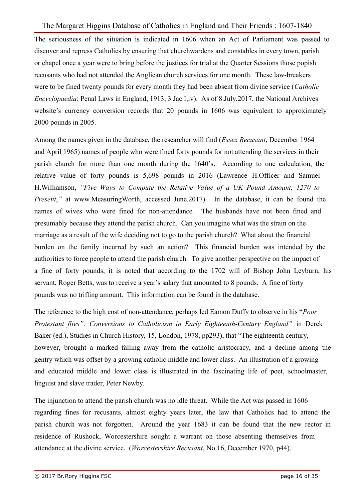The seriousness of the situation is indicated in 1606 when an Act of Parliament was passed to discover and repress Catholics by ensuring that churchwardens and constables in every town, parish or chapel once a year were to bring before the justices for trial at the Quarter Sessions those popish recusants who had not attended the Anglican church services for one month. These law-breakers were to be fined twenty pounds for every month they had been absent from divine service (*Catholic Encyclopaedia*: Penal Laws in England, 1913, 3 Jac.I,iv). As of 8.July.2017, the National Archives website's currency conversion records that 20 pounds in 1606 was equivalent to approximately 2000 pounds in 2005.

Among the names given in the database, the researcher will find (*Essex Recusant*, December 1964 and April 1965) names of people who were fined forty pounds for not attending the services in their parish church for more than one month during the 1640's. According to one calculation, the relative value of forty pounds is 5,698 pounds in 2016 (Lawrence H.Officer and Samuel H.Williamson, *"Five Ways to Compute the Relative Value of a UK Pound Amount, 1270 to Present*," at www.MeasuringWorth, accessed June.2017). In the database, it can be found the names of wives who were fined for non-attendance. The husbands have not been fined and presumably because they attend the parish church. Can you imagine what was the strain on the marriage as a result of the wife deciding not to go to the parish church? What about the financial burden on the family incurred by such an action? This financial burden was intended by the authorities to force people to attend the parish church. To give another perspective on the impact of a fine of forty pounds, it is noted that according to the 1702 will of Bishop John Leyburn, his servant, Roger Betts, was to receive a year's salary that amounted to 8 pounds. A fine of forty pounds was no trifling amount. This information can be found in the database.

The reference to the high cost of non-attendance, perhaps led Eamon Duffy to observe in his "*Poor Protestant flies": Conversions to Catholicism in Early Eighteenth-Century England"* in Derek Baker (ed.), Studies in Church History, 15, London, 1978, pp293), that "The eighteenth century, however, brought a marked falling away from the catholic aristocracy, and a decline among the gentry which was offset by a growing catholic middle and lower class. An illustration of a growing and educated middle and lower class is illustrated in the fascinating life of poet, schoolmaster, linguist and slave trader, Peter Newby.

The injunction to attend the parish church was no idle threat. While the Act was passed in 1606 regarding fines for recusants, almost eighty years later, the law that Catholics had to attend the parish church was not forgotten. Around the year 1683 it can be found that the new rector in residence of Rushock, Worcestershire sought a warrant on those absenting themselves from attendance at the divine service. (*Worcestershire Recusant*, No.16, December 1970, p44).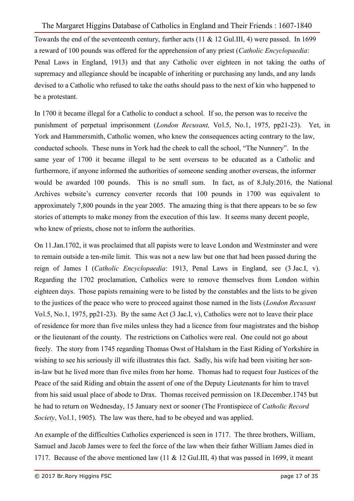Towards the end of the seventeenth century, further acts (11 & 12 Gul.III, 4) were passed. In 1699 a reward of 100 pounds was offered for the apprehension of any priest (*Catholic Encyclopaedia*: Penal Laws in England, 1913) and that any Catholic over eighteen in not taking the oaths of supremacy and allegiance should be incapable of inheriting or purchasing any lands, and any lands devised to a Catholic who refused to take the oaths should pass to the next of kin who happened to be a protestant.

In 1700 it became illegal for a Catholic to conduct a school. If so, the person was to receive the punishment of perpetual imprisonment (*London Recusant,* Vol.5, No.1, 1975, pp21-23). Yet, in York and Hammersmith, Catholic women, who knew the consequences acting contrary to the law, conducted schools. These nuns in York had the cheek to call the school, "The Nunnery". In the same year of 1700 it became illegal to be sent overseas to be educated as a Catholic and furthermore, if anyone informed the authorities of someone sending another overseas, the informer would be awarded 100 pounds. This is no small sum. In fact, as of 8.July.2016, the National Archives website's currency converter records that 100 pounds in 1700 was equivalent to approximately 7,800 pounds in the year 2005. The amazing thing is that there appears to be so few stories of attempts to make money from the execution of this law. It seems many decent people, who knew of priests, chose not to inform the authorities.

On 11.Jan.1702, it was proclaimed that all papists were to leave London and Westminster and were to remain outside a ten-mile limit. This was not a new law but one that had been passed during the reign of James I (*Catholic Encyclopaedia*: 1913, Penal Laws in England, see (3 Jac.I, v). Regarding the 1702 proclamation, Catholics were to remove themselves from London within eighteen days. Those papists remaining were to be listed by the constables and the lists to be given to the justices of the peace who were to proceed against those named in the lists (*London Recusant* Vol.5, No.1, 1975, pp21-23). By the same Act (3 Jac.I, v), Catholics were not to leave their place of residence for more than five miles unless they had a licence from four magistrates and the bishop or the lieutenant of the county. The restrictions on Catholics were real. One could not go about freely. The story from 1745 regarding Thomas Owst of Halsham in the East Riding of Yorkshire in wishing to see his seriously ill wife illustrates this fact. Sadly, his wife had been visiting her sonin-law but he lived more than five miles from her home. Thomas had to request four Justices of the Peace of the said Riding and obtain the assent of one of the Deputy Lieutenants for him to travel from his said usual place of abode to Drax. Thomas received permission on 18.December.1745 but he had to return on Wednesday, 15 January next or sooner (The Frontispiece of *Catholic Record Society*, Vol.1, 1905). The law was there, had to be obeyed and was applied.

An example of the difficulties Catholics experienced is seen in 1717. The three brothers, William, Samuel and Jacob James were to feel the force of the law when their father William James died in 1717. Because of the above mentioned law (11 & 12 Gul.III, 4) that was passed in 1699, it meant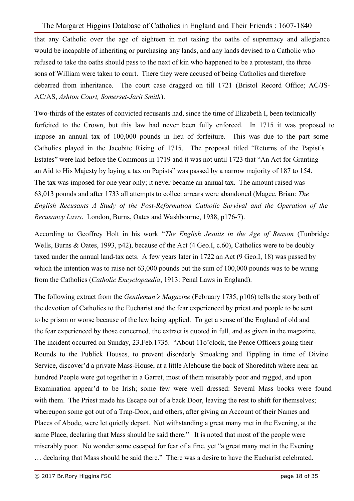that any Catholic over the age of eighteen in not taking the oaths of supremacy and allegiance would be incapable of inheriting or purchasing any lands, and any lands devised to a Catholic who refused to take the oaths should pass to the next of kin who happened to be a protestant, the three sons of William were taken to court. There they were accused of being Catholics and therefore debarred from inheritance. The court case dragged on till 1721 (Bristol Record Office; AC/JS-AC/AS, *Ashton Court, Somerset-Jarit Smith*).

Two-thirds of the estates of convicted recusants had, since the time of Elizabeth I, been technically forfeited to the Crown, but this law had never been fully enforced. In 1715 it was proposed to impose an annual tax of 100,000 pounds in lieu of forfeiture. This was due to the part some Catholics played in the Jacobite Rising of 1715. The proposal titled "Returns of the Papist's Estates" were laid before the Commons in 1719 and it was not until 1723 that "An Act for Granting an Aid to His Majesty by laying a tax on Papists" was passed by a narrow majority of 187 to 154. The tax was imposed for one year only; it never became an annual tax. The amount raised was 63,013 pounds and after 1733 all attempts to collect arrears were abandoned (Magee, Brian: *The English Recusants A Study of the Post-Reformation Catholic Survival and the Operation of the Recusancy Laws*. London, Burns, Oates and Washbourne, 1938, p176-7).

According to Geoffrey Holt in his work "*The English Jesuits in the Age of Reason* (Tunbridge Wells, Burns & Oates, 1993, p42), because of the Act (4 Geo.I, c.60), Catholics were to be doubly taxed under the annual land-tax acts. A few years later in 1722 an Act (9 Geo.I, 18) was passed by which the intention was to raise not 63,000 pounds but the sum of 100,000 pounds was to be wrung from the Catholics (*Catholic Encyclopaedia*, 1913: Penal Laws in England).

The following extract from the *Gentleman's Magazine* (February 1735, p106) tells the story both of the devotion of Catholics to the Eucharist and the fear experienced by priest and people to be sent to be prison or worse because of the law being applied. To get a sense of the England of old and the fear experienced by those concerned, the extract is quoted in full, and as given in the magazine. The incident occurred on Sunday, 23.Feb.1735. "About 11o'clock, the Peace Officers going their Rounds to the Publick Houses, to prevent disorderly Smoaking and Tippling in time of Divine Service, discover'd a private Mass-House, at a little Alehouse the back of Shoreditch where near an hundred People were got together in a Garret, most of them miserably poor and ragged, and upon Examination appear'd to be Irish; some few were well dressed: Several Mass books were found with them. The Priest made his Escape out of a back Door, leaving the rest to shift for themselves; whereupon some got out of a Trap-Door, and others, after giving an Account of their Names and Places of Abode, were let quietly depart. Not withstanding a great many met in the Evening, at the same Place, declaring that Mass should be said there." It is noted that most of the people were miserably poor. No wonder some escaped for fear of a fine, yet "a great many met in the Evening

… declaring that Mass should be said there." There was a desire to have the Eucharist celebrated.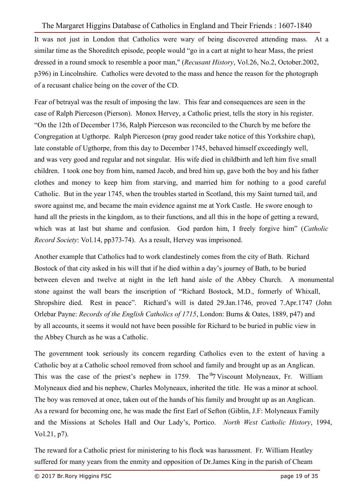It was not just in London that Catholics were wary of being discovered attending mass. At a similar time as the Shoreditch episode, people would "go in a cart at night to hear Mass, the priest dressed in a round smock to resemble a poor man," (*Recusant History*, Vol.26, No.2, October.2002, p396) in Lincolnshire. Catholics were devoted to the mass and hence the reason for the photograph of a recusant chalice being on the cover of the CD.

Fear of betrayal was the result of imposing the law. This fear and consequences are seen in the case of Ralph Pierceson (Pierson). Monox Hervey, a Catholic priest, tells the story in his register. "On the 12th of December 1736, Ralph Pierceson was reconciled to the Church by me before the Congregation at Ugthorpe. Ralph Pierceson (pray good reader take notice of this Yorkshire chap), late constable of Ugthorpe, from this day to December 1745, behaved himself exceedingly well, and was very good and regular and not singular. His wife died in childbirth and left him five small children. I took one boy from him, named Jacob, and bred him up, gave both the boy and his father clothes and money to keep him from starving, and married him for nothing to a good careful Catholic. But in the year 1745, when the troubles started in Scotland, this my Saint turned tail, and swore against me, and became the main evidence against me at York Castle. He swore enough to hand all the priests in the kingdom, as to their functions, and all this in the hope of getting a reward, which was at last but shame and confusion. God pardon him, I freely forgive him" (*Catholic Record Society*: Vol.14, pp373-74). As a result, Hervey was imprisoned.

Another example that Catholics had to work clandestinely comes from the city of Bath. Richard Bostock of that city asked in his will that if he died within a day's journey of Bath, to be buried between eleven and twelve at night in the left hand aisle of the Abbey Church. A monumental stone against the wall bears the inscription of "Richard Bostock, M.D., formerly of Whixall, Shropshire died. Rest in peace". Richard's will is dated 29.Jan.1746, proved 7.Apr.1747 (John Orlebar Payne: *Records of the English Catholics of 1715*, London: Burns & Oates, 1889, p47) and by all accounts, it seems it would not have been possible for Richard to be buried in public view in the Abbey Church as he was a Catholic.

The government took seriously its concern regarding Catholics even to the extent of having a Catholic boy at a Catholic school removed from school and family and brought up as an Anglican. This was the case of the priest's nephew in 1759. The  $<sup>th</sup>7$  Viscount Molyneaux, Fr. William</sup> Molyneaux died and his nephew, Charles Molyneaux, inherited the title. He was a minor at school. The boy was removed at once, taken out of the hands of his family and brought up as an Anglican. As a reward for becoming one, he was made the first Earl of Sefton (Giblin, J.F: Molyneaux Family and the Missions at Scholes Hall and Our Lady's, Portico. *North West Catholic History*, 1994, Vol.21, p7).

The reward for a Catholic priest for ministering to his flock was harassment. Fr. William Heatley suffered for many years from the enmity and opposition of Dr.James King in the parish of Cheam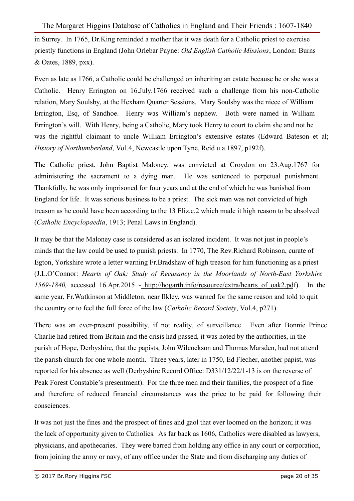in Surrey. In 1765, Dr.King reminded a mother that it was death for a Catholic priest to exercise priestly functions in England (John Orlebar Payne: *Old English Catholic Missions*, London: Burns & Oates, 1889, pxx).

Even as late as 1766, a Catholic could be challenged on inheriting an estate because he or she was a Catholic. Henry Errington on 16.July.1766 received such a challenge from his non-Catholic relation, Mary Soulsby, at the Hexham Quarter Sessions. Mary Soulsby was the niece of William Errington, Esq, of Sandhoe. Henry was William's nephew. Both were named in William Errington's will. With Henry, being a Catholic, Mary took Henry to court to claim she and not he was the rightful claimant to uncle William Errington's extensive estates (Edward Bateson et al; *History of Northumberland*, Vol.4, Newcastle upon Tyne, Reid u.a.1897, p192f).

The Catholic priest, John Baptist Maloney, was convicted at Croydon on 23.Aug.1767 for administering the sacrament to a dying man. He was sentenced to perpetual punishment. Thankfully, he was only imprisoned for four years and at the end of which he was banished from England for life. It was serious business to be a priest. The sick man was not convicted of high treason as he could have been according to the 13 Eliz.c.2 which made it high reason to be absolved (*Catholic Encyclopaedia*, 1913; Penal Laws in England).

It may be that the Maloney case is considered as an isolated incident. It was not just in people's minds that the law could be used to punish priests. In 1770, The Rev.Richard Robinson, curate of Egton, Yorkshire wrote a letter warning Fr.Bradshaw of high treason for him functioning as a priest (J.L.O'Connor: *Hearts of Oak: Study of Recusancy in the Moorlands of North-East Yorkshire 1569-1840,* accessed 16.Apr.2015 - http://hogarth.info/resource/extra/hearts\_of\_oak2.pdf). In the same year, Fr.Watkinson at Middleton, near Ilkley, was warned for the same reason and told to quit the country or to feel the full force of the law (*Catholic Record Society*, Vol.4, p271).

There was an ever-present possibility, if not reality, of surveillance. Even after Bonnie Prince Charlie had retired from Britain and the crisis had passed, it was noted by the authorities, in the parish of Hope, Derbyshire, that the papists, John Wilcockson and Thomas Marsden, had not attend the parish church for one whole month. Three years, later in 1750, Ed Flecher, another papist, was reported for his absence as well (Derbyshire Record Office: D331/12/22/1-13 is on the reverse of Peak Forest Constable's presentment). For the three men and their families, the prospect of a fine and therefore of reduced financial circumstances was the price to be paid for following their consciences.

It was not just the fines and the prospect of fines and gaol that ever loomed on the horizon; it was the lack of opportunity given to Catholics. As far back as 1606, Catholics were disabled as lawyers, physicians, and apothecaries. They were barred from holding any office in any court or corporation, from joining the army or navy, of any office under the State and from discharging any duties of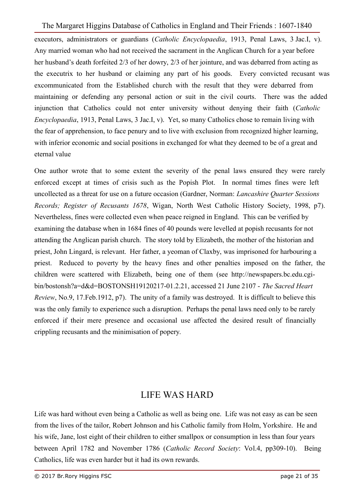executors, administrators or guardians (*Catholic Encyclopaedia*, 1913, Penal Laws, 3 Jac.I, v). Any married woman who had not received the sacrament in the Anglican Church for a year before her husband's death forfeited 2/3 of her dowry, 2/3 of her jointure, and was debarred from acting as the executrix to her husband or claiming any part of his goods. Every convicted recusant was excommunicated from the Established church with the result that they were debarred from maintaining or defending any personal action or suit in the civil courts. There was the added injunction that Catholics could not enter university without denying their faith (*Catholic Encyclopaedia*, 1913, Penal Laws, 3 Jac.I, v). Yet, so many Catholics chose to remain living with the fear of apprehension, to face penury and to live with exclusion from recognized higher learning, with inferior economic and social positions in exchanged for what they deemed to be of a great and eternal value

One author wrote that to some extent the severity of the penal laws ensured they were rarely enforced except at times of crisis such as the Popish Plot. In normal times fines were left uncollected as a threat for use on a future occasion (Gardner, Norman: *Lancashire Quarter Sessions Records; Register of Recusants 1678*, Wigan, North West Catholic History Society, 1998, p7). Nevertheless, fines were collected even when peace reigned in England. This can be verified by examining the database when in 1684 fines of 40 pounds were levelled at popish recusants for not attending the Anglican parish church. The story told by Elizabeth, the mother of the historian and priest, John Lingard, is relevant. Her father, a yeoman of Claxby, was imprisoned for harbouring a priest. Reduced to poverty by the heavy fines and other penalties imposed on the father, the children were scattered with Elizabeth, being one of them (see http://newspapers.bc.edu.cgibin/bostonsh?a=d&d=BOSTONSH19120217-01.2.21, accessed 21 June 2107 - *The Sacred Heart Review*, No.9, 17.Feb.1912, p7). The unity of a family was destroyed. It is difficult to believe this was the only family to experience such a disruption. Perhaps the penal laws need only to be rarely enforced if their mere presence and occasional use affected the desired result of financially crippling recusants and the minimisation of popery.

## LIFE WAS HARD

Life was hard without even being a Catholic as well as being one. Life was not easy as can be seen from the lives of the tailor, Robert Johnson and his Catholic family from Holm, Yorkshire. He and his wife, Jane, lost eight of their children to either smallpox or consumption in less than four years between April 1782 and November 1786 (*Catholic Record Society*: Vol.4, pp309-10). Being Catholics, life was even harder but it had its own rewards.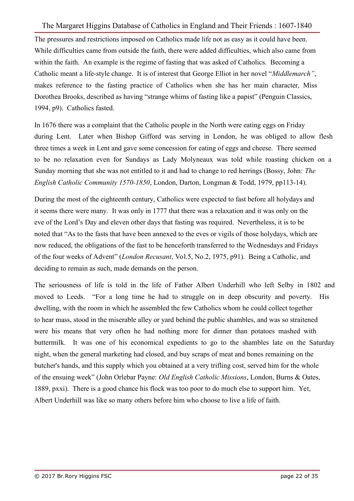The pressures and restrictions imposed on Catholics made life not as easy as it could have been. While difficulties came from outside the faith, there were added difficulties, which also came from within the faith. An example is the regime of fasting that was asked of Catholics. Becoming a Catholic meant a life-style change. It is of interest that George Elliot in her novel "*Middlemarch"*, makes reference to the fasting practice of Catholics when she has her main character, Miss Dorothea Brooks, described as having "strange whims of fasting like a papist" (Penguin Classics, 1994, p9). Catholics fasted.

In 1676 there was a complaint that the Catholic people in the North were eating eggs on Friday during Lent. Later when Bishop Gifford was serving in London, he was obliged to allow flesh three times a week in Lent and gave some concession for eating of eggs and cheese. There seemed to be no relaxation even for Sundays as Lady Molyneaux was told while roasting chicken on a Sunday morning that she was not entitled to it and had to change to red herrings (Bossy, John: *The English Catholic Community 1570-1850*, London, Darton, Longman & Todd, 1979, pp113-14).

During the most of the eighteenth century, Catholics were expected to fast before all holydays and it seems there were many. It was only in 1777 that there was a relaxation and it was only on the eve of the Lord's Day and eleven other days that fasting was required. Nevertheless, it is to be noted that "As to the fasts that have been annexed to the eves or vigils of those holydays, which are now reduced, the obligations of the fast to be henceforth transferred to the Wednesdays and Fridays of the four weeks of Advent" (*London Recusant*, Vol.5, No.2, 1975, p91). Being a Catholic, and deciding to remain as such, made demands on the person.

The seriousness of life is told in the life of Father Albert Underhill who left Selby in 1802 and moved to Leeds. "For a long time he had to struggle on in deep obscurity and poverty. His dwelling, with the room in which he assembled the few Catholics whom he could collect together to hear mass, stood in the miserable alley or yard behind the public shambles, and was so straitened were his means that very often he had nothing more for dinner than potatoes mashed with buttermilk. It was one of his economical expedients to go to the shambles late on the Saturday night, when the general marketing had closed, and buy scraps of meat and bones remaining on the butcher's hands, and this supply which you obtained at a very trifling cost, served him for the whole of the ensuing week" (John Orlebar Payne: *Old English Catholic Missions*, London, Burns & Oates, 1889, pxxi). There is a good chance his flock was too poor to do much else to support him. Yet, Albert Underhill was like so many others before him who choose to live a life of faith.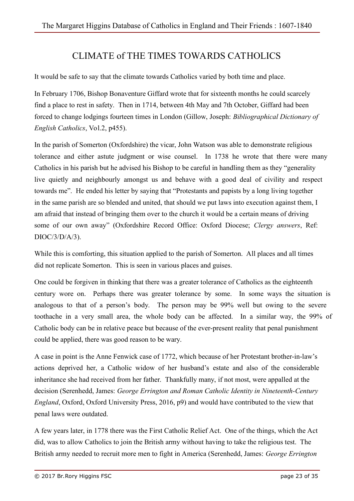# CLIMATE of THE TIMES TOWARDS CATHOLICS

It would be safe to say that the climate towards Catholics varied by both time and place.

In February 1706, Bishop Bonaventure Giffard wrote that for sixteenth months he could scarcely find a place to rest in safety. Then in 1714, between 4th May and 7th October, Giffard had been forced to change lodgings fourteen times in London (Gillow, Joseph: *Bibliographical Dictionary of English Catholics*, Vol.2, p455).

In the parish of Somerton (Oxfordshire) the vicar, John Watson was able to demonstrate religious tolerance and either astute judgment or wise counsel. In 1738 he wrote that there were many Catholics in his parish but he advised his Bishop to be careful in handling them as they "generality live quietly and neighbourly amongst us and behave with a good deal of civility and respect towards me". He ended his letter by saying that "Protestants and papists by a long living together in the same parish are so blended and united, that should we put laws into execution against them, I am afraid that instead of bringing them over to the church it would be a certain means of driving some of our own away" (Oxfordshire Record Office: Oxford Diocese; *Clergy answers*, Ref: DIOC/3/D/A/3).

While this is comforting, this situation applied to the parish of Somerton. All places and all times did not replicate Somerton. This is seen in various places and guises.

One could be forgiven in thinking that there was a greater tolerance of Catholics as the eighteenth century wore on. Perhaps there was greater tolerance by some. In some ways the situation is analogous to that of a person's body. The person may be 99% well but owing to the severe toothache in a very small area, the whole body can be affected. In a similar way, the 99% of Catholic body can be in relative peace but because of the ever-present reality that penal punishment could be applied, there was good reason to be wary.

A case in point is the Anne Fenwick case of 1772, which because of her Protestant brother-in-law's actions deprived her, a Catholic widow of her husband's estate and also of the considerable inheritance she had received from her father. Thankfully many, if not most, were appalled at the decision (Serenhedd, James: *George Errington and Roman Catholic Identity in Nineteenth-Century England*, Oxford, Oxford University Press, 2016, p9) and would have contributed to the view that penal laws were outdated.

A few years later, in 1778 there was the First Catholic Relief Act. One of the things, which the Act did, was to allow Catholics to join the British army without having to take the religious test. The British army needed to recruit more men to fight in America (Serenhedd, James: *George Errington*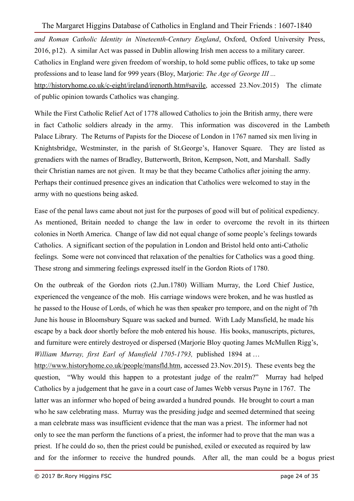*and Roman Catholic Identity in Nineteenth-Century England*, Oxford, Oxford University Press, 2016, p12). A similar Act was passed in Dublin allowing Irish men access to a military career. Catholics in England were given freedom of worship, to hold some public offices, to take up some professions and to lease land for 999 years (Bloy, Marjorie: *The Age of George III ...*  http://historyhome.co.uk/c-eight/ireland/irenorth.htm#savile, accessed 23.Nov.2015) The climate of public opinion towards Catholics was changing.

While the First Catholic Relief Act of 1778 allowed Catholics to join the British army, there were in fact Catholic soldiers already in the army. This information was discovered in the Lambeth Palace Library. The Returns of Papists for the Diocese of London in 1767 named six men living in Knightsbridge, Westminster, in the parish of St.George's, Hanover Square. They are listed as grenadiers with the names of Bradley, Butterworth, Briton, Kempson, Nott, and Marshall. Sadly their Christian names are not given. It may be that they became Catholics after joining the army. Perhaps their continued presence gives an indication that Catholics were welcomed to stay in the army with no questions being asked.

Ease of the penal laws came about not just for the purposes of good will but of political expediency. As mentioned, Britain needed to change the law in order to overcome the revolt in its thirteen colonies in North America. Change of law did not equal change of some people's feelings towards Catholics. A significant section of the population in London and Bristol held onto anti-Catholic feelings. Some were not convinced that relaxation of the penalties for Catholics was a good thing. These strong and simmering feelings expressed itself in the Gordon Riots of 1780.

On the outbreak of the Gordon riots (2.Jun.1780) William Murray, the Lord Chief Justice, experienced the vengeance of the mob. His carriage windows were broken, and he was hustled as he passed to the House of Lords, of which he was then speaker pro tempore, and on the night of 7th June his house in Bloomsbury Square was sacked and burned. With Lady Mansfield, he made his escape by a back door shortly before the mob entered his house. His books, manuscripts, pictures, and furniture were entirely destroyed or dispersed (Marjorie Bloy quoting James McMullen Rigg's, *William Murray, first Earl of Mansfield 1705-1793,* published 1894 at …

http://www.historyhome.co.uk/people/mansfld.htm, accessed 23.Nov.2015). These events beg the question, "Why would this happen to a protestant judge of the realm?" Murray had helped Catholics by a judgement that he gave in a court case of James Webb versus Payne in 1767. The latter was an informer who hoped of being awarded a hundred pounds. He brought to court a man who he saw celebrating mass. Murray was the presiding judge and seemed determined that seeing a man celebrate mass was insufficient evidence that the man was a priest. The informer had not only to see the man perform the functions of a priest, the informer had to prove that the man was a priest. If he could do so, then the priest could be punished, exiled or executed as required by law and for the informer to receive the hundred pounds. After all, the man could be a bogus priest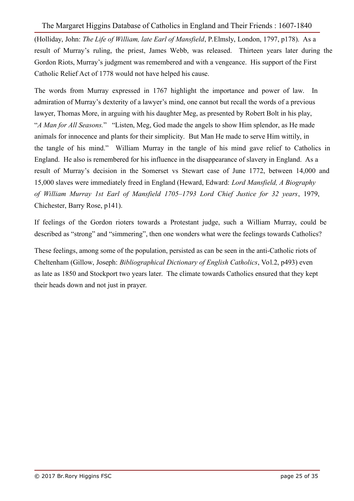(Holliday, John: *The Life of William, late Earl of Mansfield*, P.Elmsly, London, 1797, p178). As a result of Murray's ruling, the priest, James Webb, was released. Thirteen years later during the Gordon Riots, Murray's judgment was remembered and with a vengeance. His support of the First Catholic Relief Act of 1778 would not have helped his cause.

The words from Murray expressed in 1767 highlight the importance and power of law. In admiration of Murray's dexterity of a lawyer's mind, one cannot but recall the words of a previous lawyer, Thomas More, in arguing with his daughter Meg, as presented by Robert Bolt in his play, "*A Man for All Seasons.*" "Listen, Meg, God made the angels to show Him splendor, as He made animals for innocence and plants for their simplicity. But Man He made to serve Him wittily, in the tangle of his mind." William Murray in the tangle of his mind gave relief to Catholics in England. He also is remembered for his influence in the disappearance of slavery in England. As a result of Murray's decision in the Somerset vs Stewart case of June 1772, between 14,000 and 15,000 slaves were immediately freed in England (Heward, Edward: *Lord Mansfield, A Biography of William Murray 1st Earl of Mansfield 1705–1793 Lord Chief Justice for 32 years*, 1979, Chichester, Barry Rose, p141).

If feelings of the Gordon rioters towards a Protestant judge, such a William Murray, could be described as "strong" and "simmering", then one wonders what were the feelings towards Catholics?

These feelings, among some of the population, persisted as can be seen in the anti-Catholic riots of Cheltenham (Gillow, Joseph: *Bibliographical Dictionary of English Catholics*, Vol.2, p493) even as late as 1850 and Stockport two years later. The climate towards Catholics ensured that they kept their heads down and not just in prayer.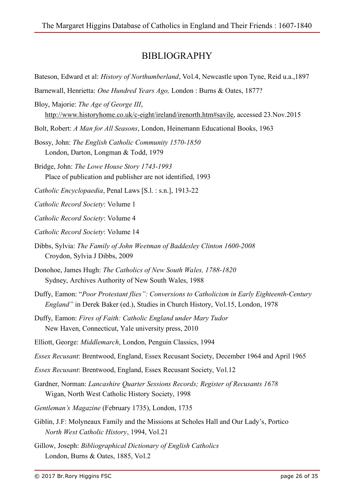## BIBLIOGRAPHY

- Bateson, Edward et al: *History of Northumberland*, Vol.4, Newcastle upon Tyne, Reid u.a.,1897
- Barnewall, Henrietta: *One Hundred Years Ago,* London : Burns & Oates, 1877?
- Bloy, Majorie: *The Age of George III*, http://www.historyhome.co.uk/c-eight/ireland/irenorth.htm#savile, accessed 23.Nov.2015
- Bolt, Robert: *A Man for All Seasons*, London, Heinemann Educational Books, 1963

Bossy, John: *The English Catholic Community 1570-1850* London, Darton, Longman & Todd, 1979

Bridge, John: *The Lowe House Story 1743-1993*  Place of publication and publisher are not identified, 1993

*Catholic Encyclopaedia*, Penal Laws [S.l. : s.n.], 1913-22

*Catholic Record Society*: Volume 1

*Catholic Record Society*: Volume 4

*Catholic Record Society*: Volume 14

- Dibbs, Sylvia: *The Family of John Weetman of Baddesley Clinton 1600-2008* Croydon, Sylvia J Dibbs, 2009
- Donohoe, James Hugh: *The Catholics of New South Wales, 1788-1820* Sydney, Archives Authority of New South Wales, 1988
- Duffy, Eamon: "*Poor Protestant flies": Conversions to Catholicism in Early Eighteenth-Century England"* in Derek Baker (ed.), Studies in Church History, Vol.15, London, 1978
- Duffy, Eamon: *Fires of Faith: Catholic England under Mary Tudor* New Haven, Connecticut, Yale university press, 2010
- Elliott, George: *Middlemarch*, London, Penguin Classics, 1994
- *Essex Recusant*: Brentwood, England, Essex Recusant Society, December 1964 and April 1965
- *Essex Recusant*: Brentwood, England, Essex Recusant Society, Vol.12
- Gardner, Norman: *Lancashire Quarter Sessions Records; Register of Recusants 1678* Wigan, North West Catholic History Society, 1998
- *Gentleman's Magazine* (February 1735), London, 1735
- Giblin, J.F: Molyneaux Family and the Missions at Scholes Hall and Our Lady's, Portico *North West Catholic History*, 1994, Vol.21
- Gillow, Joseph: *Bibliographical Dictionary of English Catholics* London, Burns & Oates, 1885, Vol.2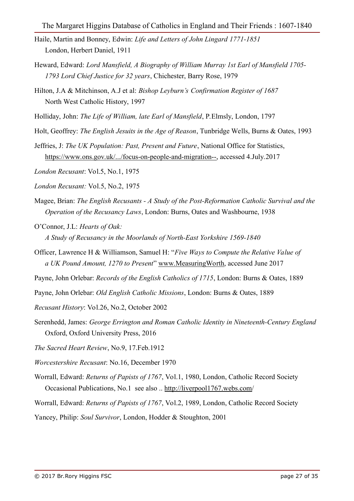- Haile, Martin and Bonney, Edwin: *Life and Letters of John Lingard 1771-1851* London, Herbert Daniel, 1911
- Heward, Edward: *Lord Mansfield, A Biography of William Murray 1st Earl of Mansfield 1705- 1793 Lord Chief Justice for 32 years*, Chichester, Barry Rose, 1979
- Hilton, J.A & Mitchinson, A.J et al: *Bishop Leyburn's Confirmation Register of 1687* North West Catholic History, 1997
- Holliday, John: *The Life of William, late Earl of Mansfield*, P.Elmsly, London, 1797
- Holt, Geoffrey: *The English Jesuits in the Age of Reason*, Tunbridge Wells, Burns & Oates, 1993
- Jeffries, J: *The UK Population: Past, Present and Future*, National Office for Statistics, https://www.ons.gov.uk/.../focus-on-people-and-migration--, accessed 4.July.2017
- *London Recusant*: Vol.5, No.1, 1975
- *London Recusant:* Vol.5, No.2, 1975
- Magee, Brian: *The English Recusants A Study of the Post-Reformation Catholic Survival and the Operation of the Recusancy Laws*, London: Burns, Oates and Washbourne, 1938
- O'Connor, J.L: *Hearts of Oak: A Study of Recusancy in the Moorlands of North-East Yorkshire 1569-1840*
- Officer, Lawrence H & Williamson, Samuel H: "*Five Ways to Compute the Relative Value of a UK Pound Amount, 1270 to Present*" www.MeasuringWorth, accessed June 2017
- Payne, John Orlebar: *Records of the English Catholics of 1715*, London: Burns & Oates, 1889
- Payne, John Orlebar: *Old English Catholic Missions*, London: Burns & Oates, 1889
- *Recusant History*: Vol.26, No.2, October 2002
- Serenhedd, James: *George Errington and Roman Catholic Identity in Nineteenth-Century England* Oxford, Oxford University Press, 2016
- *The Sacred Heart Review*, No.9, 17.Feb.1912
- *Worcestershire Recusant*: No.16, December 1970
- Worrall, Edward: *Returns of Papists of 1767*, Vol.1, 1980, London, Catholic Record Society Occasional Publications, No.1 see also .. http://liverpool1767.webs.com/
- Worrall, Edward: *Returns of Papists of 1767*, Vol.2, 1989, London, Catholic Record Society
- Yancey, Philip: *Soul Survivor*, London, Hodder & Stoughton, 2001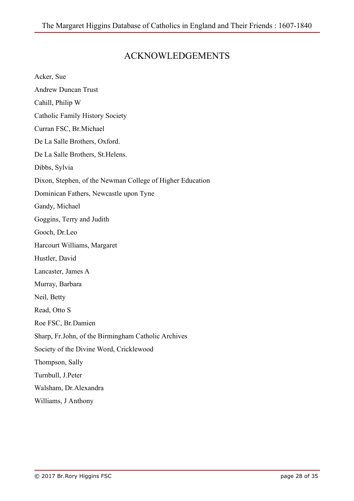# ACKNOWLEDGEMENTS

| Acker, Sue                                                |
|-----------------------------------------------------------|
| <b>Andrew Duncan Trust</b>                                |
| Cahill, Philip W                                          |
| Catholic Family History Society                           |
| Curran FSC, Br. Michael                                   |
| De La Salle Brothers, Oxford.                             |
| De La Salle Brothers, St. Helens.                         |
| Dibbs, Sylvia                                             |
| Dixon, Stephen, of the Newman College of Higher Education |
| Dominican Fathers, Newcastle upon Tyne                    |
| Gandy, Michael                                            |
| Goggins, Terry and Judith                                 |
| Gooch, Dr.Leo                                             |
| Harcourt Williams, Margaret                               |
| Hustler, David                                            |
| Lancaster, James A                                        |
| Murray, Barbara                                           |
| Neil, Betty                                               |
| Read, Otto S                                              |
| Roe FSC, Br.Damien                                        |
| Sharp, Fr.John, of the Birmingham Catholic Archives       |
| Society of the Divine Word, Cricklewood                   |
| Thompson, Sally                                           |
| Turnbull, J.Peter                                         |
| Walsham, Dr. Alexandra                                    |
| Williams, J Anthony                                       |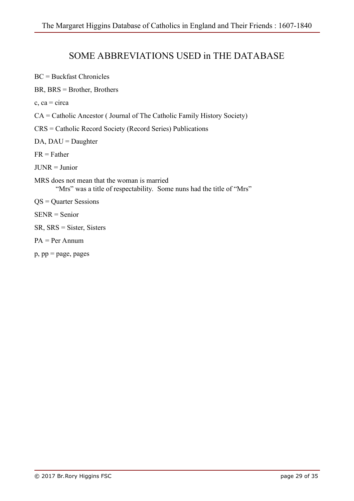## SOME ABBREVIATIONS USED in THE DATABASE

BC = Buckfast Chronicles

BR, BRS = Brother, Brothers

 $c$ , ca = circa

CA = Catholic Ancestor ( Journal of The Catholic Family History Society)

CRS = Catholic Record Society (Record Series) Publications

 $DA$ ,  $DAU = Daughter$ 

 $FR = Father$ 

JUNR = Junior

MRS does not mean that the woman is married "Mrs" was a title of respectability. Some nuns had the title of "Mrs"

QS = Quarter Sessions

SENR = Senior

- SR, SRS = Sister, Sisters
- PA = Per Annum
- p, pp = page, pages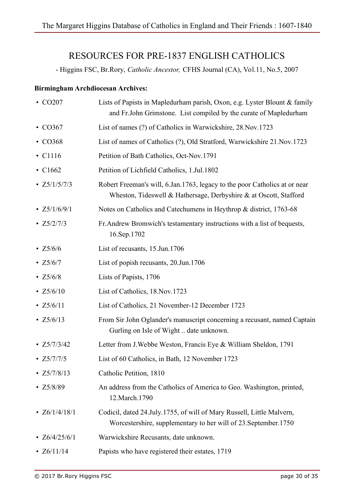# RESOURCES FOR PRE-1837 ENGLISH CATHOLICS

- Higgins FSC, Br.Rory, *Catholic Ancestor,* CFHS Journal (CA), Vol.11, No.5, 2007

#### **Birmingham Archdiocesan Archives:**

| $\cdot$ CO207      | Lists of Papists in Mapledurham parish, Oxon, e.g. Lyster Blount & family<br>and Fr. John Grimstone. List compiled by the curate of Mapledurham |
|--------------------|-------------------------------------------------------------------------------------------------------------------------------------------------|
| $\cdot$ CO367      | List of names (?) of Catholics in Warwickshire, 28. Nov. 1723                                                                                   |
| $\cdot$ CO368      | List of names of Catholics (?), Old Stratford, Warwickshire 21. Nov. 1723                                                                       |
| $\cdot$ C1116      | Petition of Bath Catholics, Oct-Nov.1791                                                                                                        |
| $\cdot$ C1662      | Petition of Lichfield Catholics, 1.Jul.1802                                                                                                     |
| $\cdot$ Z5/1/5/7/3 | Robert Freeman's will, 6.Jan.1763, legacy to the poor Catholics at or near<br>Wheston, Tideswell & Hathersage, Derbyshire & at Oscott, Stafford |
| • $Z5/1/6/9/1$     | Notes on Catholics and Catechumens in Heythrop & district, 1763-68                                                                              |
| $\cdot$ Z5/2/7/3   | Fr. Andrew Bromwich's testamentary instructions with a list of bequests,<br>16.Sep.1702                                                         |
| $\cdot$ Z5/6/6     | List of recusants, 15. Jun. 1706                                                                                                                |
| • $Z5/6/7$         | List of popish recusants, 20. Jun. 1706                                                                                                         |
| • $Z5/6/8$         | Lists of Papists, 1706                                                                                                                          |
| • $Z5/6/10$        | List of Catholics, 18. Nov. 1723                                                                                                                |
| • $Z5/6/11$        | List of Catholics, 21 November-12 December 1723                                                                                                 |
| • $Z5/6/13$        | From Sir John Oglander's manuscript concerning a recusant, named Captain<br>Gurling on Isle of Wight  date unknown.                             |
| • $Z5/7/3/42$      | Letter from J. Webbe Weston, Francis Eye & William Sheldon, 1791                                                                                |
| • $Z5/7/7/5$       | List of 60 Catholics, in Bath, 12 November 1723                                                                                                 |
| • $Z5/7/8/13$      | Catholic Petition, 1810                                                                                                                         |
| $\cdot$ Z5/8/89    | An address from the Catholics of America to Geo. Washington, printed,<br>12. March. 1790                                                        |
| • $Z6/1/4/18/1$    | Codicil, dated 24. July. 1755, of will of Mary Russell, Little Malvern,<br>Worcestershire, supplementary to her will of 23. September 1750      |
| • $Z6/4/25/6/1$    | Warwickshire Recusants, date unknown.                                                                                                           |
| • $Z6/11/14$       | Papists who have registered their estates, 1719                                                                                                 |
|                    |                                                                                                                                                 |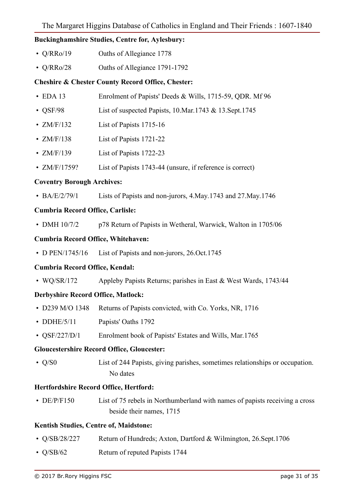**Buckinghamshire Studies, Centre for, Aylesbury:** 

- Q/RRo/19 Oaths of Allegiance 1778
- Q/RRo/28 Oaths of Allegiance 1791-1792

#### **Cheshire & Chester County Record Office, Chester:**

- EDA 13 Enrolment of Papists' Deeds & Wills, 1715-59, QDR. Mf 96
- OSF/98 List of suspected Papists, 10.Mar.1743 & 13.Sept.1745
- ZM/F/132 List of Papists 1715-16
- ZM/F/138 List of Papists 1721-22
- ZM/F/139 List of Papists 1722-23
- ZM/F/1759? List of Papists 1743-44 (unsure, if reference is correct)

#### **Coventry Borough Archives:**

• BA/E/2/79/1 Lists of Papists and non-jurors, 4. May. 1743 and 27. May. 1746

#### **Cumbria Record Office, Carlisle:**

• DMH 10/7/2 p78 Return of Papists in Wetheral, Warwick, Walton in 1705/06

#### **Cumbria Record Office, Whitehaven:**

• D PEN/1745/16 List of Papists and non-jurors, 26.Oct.1745

#### **Cumbria Record Office, Kendal:**

• WQ/SR/172 Appleby Papists Returns; parishes in East & West Wards, 1743/44

#### **Derbyshire Record Office, Matlock:**

- D239 M/O 1348 Returns of Papists convicted, with Co. Yorks, NR, 1716
- DDHE/5/11 Papists' Oaths 1792
- OSF/227/D/1 Enrolment book of Papists' Estates and Wills, Mar. 1765

#### **Gloucestershire Record Office, Gloucester:**

 • Q/S0 List of 244 Papists, giving parishes, sometimes relationships or occupation. No dates

#### **Hertfordshire Record Office, Hertford:**

• DE/P/F150 List of 75 rebels in Northumberland with names of papists receiving a cross beside their names, 1715

#### **Kentish Studies, Centre of, Maidstone:**

- Q/SB/28/227 Return of Hundreds; Axton, Dartford & Wilmington, 26.Sept.1706
- $O/SB/62$  Return of reputed Papists 1744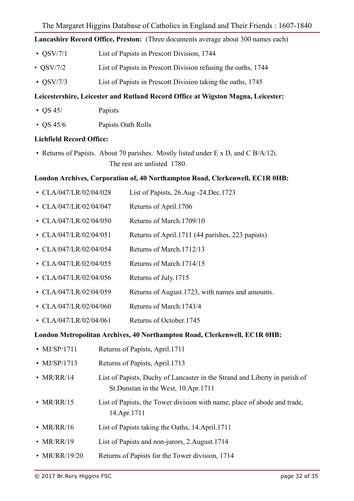**Lancashire Record Office, Preston:** (Three documents average about 300 names each)

- QSV/7/1 List of Papists in Prescott Division, 1744
- QSV/7/2 List of Papists in Prescott Division refusing the oaths, 1744
- OSV/7/3 List of Papists in Prescott Division taking the oaths, 1745

#### **Leicestershire, Leicester and Rutland Record Office at Wigston Magna, Leicester:**

- OS 45/ Papists
- QS 45/6 Papists Oath Rolls

#### **Lichfield Record Office:**

 • Returns of Papists. About 70 parishes. Mostly listed under E x D, and C B/A/12i. The rest are unlisted 1780.

#### **London Archives, Corporation of, 40 Northampton Road, Clerkenwell, EC1R 0HB:**

- CLA/047/LR/02/04/028 List of Papists, 26.Aug -24.Dec.1723
- CLA/047/LR/02/04/047 Returns of April.1706
- CLA/047/LR/02/04/050 Returns of March.1709/10
- CLA/047/LR/02/04/051 Returns of April.1711 (44 parishes, 223 papists)
- CLA/047/LR/02/04/054 Returns of March.1712/13
- CLA/047/LR/02/04/055 Returns of March.1714/15
- CLA/047/LR/02/04/056 Returns of July.1715
- CLA/047/LR/02/04/059 Returns of August.1723, with names and amounts.
- CLA/047/LR/02/04/060 Returns of March.1743/4
- CLA/047/LR/02/04/061 Returns of October.1745

#### **London Metropolitan Archives, 40 Northampton Road, Clerkenwell, EC1R 0HB:**

- MJ/SP/1711 Returns of Papists, April.1711
- MJ/SP/1713 Returns of Papists, April.1713
- MR/RR/14 List of Papists, Duchy of Lancaster in the Strand and Liberty in parish of St.Dunstan in the West, 10.Apr.1711
- MR/RR/15 List of Papists, the Tower division with name, place of abode and trade, 14.Apr.1711
- MR/RR/16 List of Papists taking the Oaths, 14.April.1711
- MR/RR/19 List of Papists and non-jurors, 2. August.1714
- MR/RR/19/20 Returns of Papists for the Tower division, 1714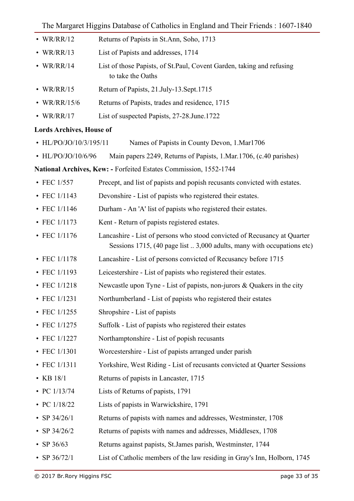- WR/RR/12 Returns of Papists in St.Ann, Soho, 1713
- WR/RR/13 List of Papists and addresses, 1714
- WR/RR/14 List of those Papists, of St.Paul, Covent Garden, taking and refusing to take the Oaths
- WR/RR/15 Return of Papists, 21.July-13.Sept.1715
- WR/RR/15/6 Returns of Papists, trades and residence, 1715
- WR/RR/17 List of suspected Papists, 27-28.June.1722

### **Lords Archives, House of**

- HL/PO/JO/10/3/195/11 Names of Papists in County Devon, 1.Mar1706
- HL/PO/JO/10/6/96 Main papers 2249, Returns of Papists, 1.Mar.1706, (c.40 parishes)

**National Archives, Kew: -** Forfeited Estates Commission, 1552-1744

- FEC 1/557 Precept, and list of papists and popish recusants convicted with estates.
- FEC 1/1143 Devonshire List of papists who registered their estates.
- FEC 1/1146 Durham An 'A' list of papists who registered their estates.
- FEC 1/1173 Kent Return of papists registered estates.
- FEC 1/1176 Lancashire List of persons who stood convicted of Recusancy at Quarter Sessions 1715, (40 page list .. 3,000 adults, many with occupations etc)
- FEC 1/1178 Lancashire List of persons convicted of Recusancy before 1715
- FEC 1/1193 Leicestershire List of papists who registered their estates.
- FEC 1/1218 Newcastle upon Tyne List of papists, non-jurors & Quakers in the city
- FEC 1/1231 Northumberland List of papists who registered their estates
- FEC 1/1255 Shropshire List of papists
- FEC 1/1275 Suffolk List of papists who registered their estates
- FEC 1/1227 Northamptonshire List of popish recusants
- FEC 1/1301 Worcestershire List of papists arranged under parish
- FEC 1/1311 Yorkshire, West Riding List of recusants convicted at Quarter Sessions
- KB 18/1 Returns of papists in Lancaster, 1715
- PC 1/13/74 Lists of Returns of papists, 1791
- PC  $1/18/22$  Lists of papists in Warwickshire, 1791
- SP 34/26/1 Returns of papists with names and addresses, Westminster, 1708
- SP 34/26/2 Returns of papists with names and addresses, Middlesex, 1708
- SP 36/63 Returns against papists, St. James parish, Westminster, 1744
- SP 36/72/1 List of Catholic members of the law residing in Gray's Inn, Holborn, 1745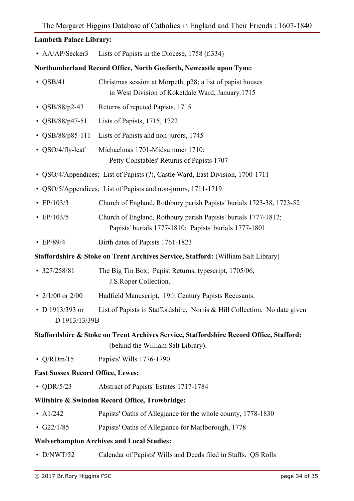## **Lambeth Palace Library:**

• AA/AP/Secker3 Lists of Papists in the Diocese, 1758 (f.334)

#### **Northumberland Record Office, North Gosforth, Newcastle upon Tyne:**

| $\cdot$ QSB/41                           | Christmas session at Morpeth, p28; a list of papist houses<br>in West Division of Koketdale Ward, January 1715                |
|------------------------------------------|-------------------------------------------------------------------------------------------------------------------------------|
| • $\text{QSB}/88/p2-43$                  | Returns of reputed Papists, 1715                                                                                              |
| • $\text{QSB}/88/\text{p}47-51$          | Lists of Papists, 1715, 1722                                                                                                  |
| • $\text{QSB}/88/\text{p85-111}$         | Lists of Papists and non-jurors, 1745                                                                                         |
| • QSO/4/fly-leaf                         | Michaelmas 1701-Midsummer 1710;<br>Petty Constables' Returns of Papists 1707                                                  |
|                                          | • QSO/4/Appendices; List of Papists (?), Castle Ward, East Division, 1700-1711                                                |
|                                          | • QSO/5/Appendices; List of Papists and non-jurors, 1711-1719                                                                 |
| • $EP/103/3$                             | Church of England, Rothbury parish Papists' burials 1723-38, 1723-52                                                          |
| $\cdot$ EP/103/5                         | Church of England, Rothbury parish Papists' burials 1777-1812;<br>Papists' burials 1777-1810; Papists' burials 1777-1801      |
| • $EP/89/4$                              | Birth dates of Papists 1761-1823                                                                                              |
|                                          | <b>Staffordshire &amp; Stoke on Trent Archives Service, Stafford: (William Salt Library)</b>                                  |
| $\cdot$ 327/258/81                       | The Big Tin Box; Papist Returns, typescript, 1705/06,<br>J.S. Roper Collection.                                               |
| • $2/1/00$ or $2/00$                     | Hadfield Manuscript, 19th Century Papists Recusants.                                                                          |
| • D 1913/393 or<br>D 1913/13/39B         | List of Papists in Staffordshire, Norris & Hill Collection, No date given                                                     |
|                                          | Staffordshire & Stoke on Trent Archives Service, Staffordshire Record Office, Stafford:<br>(behind the William Salt Library). |
| $\cdot$ Q/RDm/15                         | Papists' Wills 1776-1790                                                                                                      |
| <b>East Sussex Record Office, Lewes:</b> |                                                                                                                               |
| • QDR/5/23                               | Abstract of Papists' Estates 1717-1784                                                                                        |
|                                          | Wiltshire & Swindon Record Office, Trowbridge:                                                                                |
| • $A1/242$                               | Papists' Oaths of Allegiance for the whole county, 1778-1830                                                                  |
| • $G22/1/85$                             | Papists' Oaths of Allegiance for Marlborough, 1778                                                                            |
|                                          |                                                                                                                               |

- **Wolverhampton Archives and Local Studies:**
- D/NWT/52 Calendar of Papists' Wills and Deeds filed in Staffs. QS Rolls